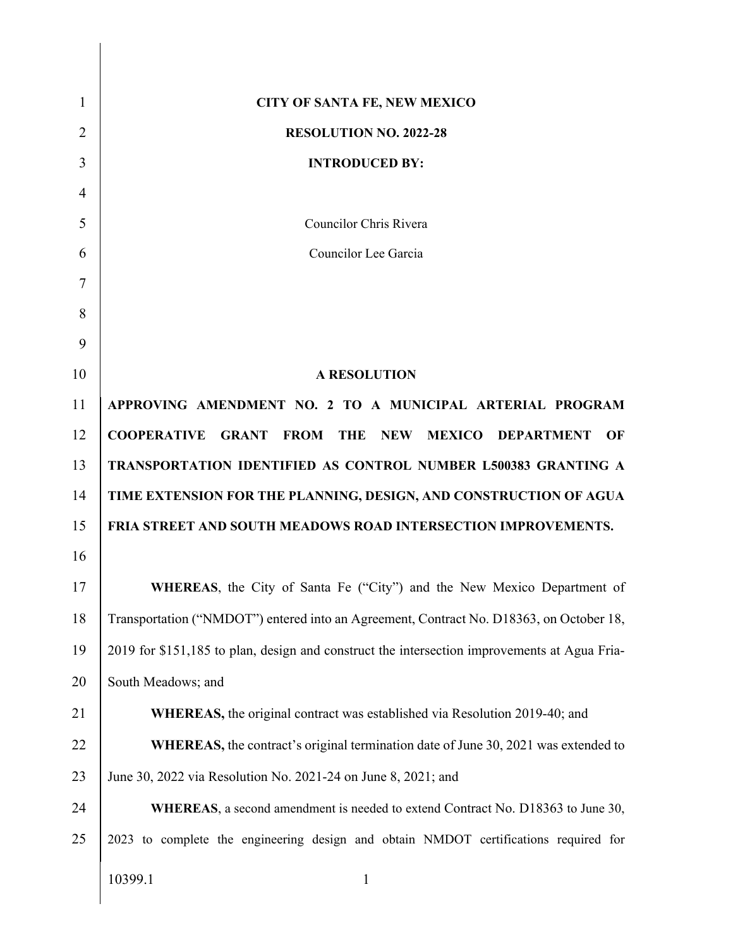| 1              | <b>CITY OF SANTA FE, NEW MEXICO</b>                                                                   |  |
|----------------|-------------------------------------------------------------------------------------------------------|--|
| $\overline{2}$ | <b>RESOLUTION NO. 2022-28</b>                                                                         |  |
| 3              | <b>INTRODUCED BY:</b>                                                                                 |  |
| $\overline{4}$ |                                                                                                       |  |
| 5              | Councilor Chris Rivera                                                                                |  |
| 6              | Councilor Lee Garcia                                                                                  |  |
| 7              |                                                                                                       |  |
| 8              |                                                                                                       |  |
| 9              |                                                                                                       |  |
| 10             | <b>A RESOLUTION</b>                                                                                   |  |
| 11             | APPROVING AMENDMENT NO. 2 TO A MUNICIPAL ARTERIAL PROGRAM                                             |  |
| 12             | <b>COOPERATIVE GRANT FROM</b><br><b>THE</b><br><b>NEW</b><br><b>MEXICO</b><br><b>DEPARTMENT</b><br>OF |  |
| 13             | TRANSPORTATION IDENTIFIED AS CONTROL NUMBER L500383 GRANTING A                                        |  |
| 14             | TIME EXTENSION FOR THE PLANNING, DESIGN, AND CONSTRUCTION OF AGUA                                     |  |
| 15             | <b>FRIA STREET AND SOUTH MEADOWS ROAD INTERSECTION IMPROVEMENTS.</b>                                  |  |
| 16             |                                                                                                       |  |
| 17             | <b>WHEREAS</b> , the City of Santa Fe ("City") and the New Mexico Department of                       |  |
| 18             | Transportation ("NMDOT") entered into an Agreement, Contract No. D18363, on October 18,               |  |
| 19             | 2019 for \$151,185 to plan, design and construct the intersection improvements at Agua Fria-          |  |
| 20             | South Meadows; and                                                                                    |  |
| 21             | <b>WHEREAS</b> , the original contract was established via Resolution 2019-40; and                    |  |
| 22             | WHEREAS, the contract's original termination date of June 30, 2021 was extended to                    |  |
| 23             | June 30, 2022 via Resolution No. 2021-24 on June 8, 2021; and                                         |  |
| 24             | WHEREAS, a second amendment is needed to extend Contract No. D18363 to June 30,                       |  |
| 25             | 2023 to complete the engineering design and obtain NMDOT certifications required for                  |  |
|                | 10399.1<br>$\mathbf{1}$                                                                               |  |